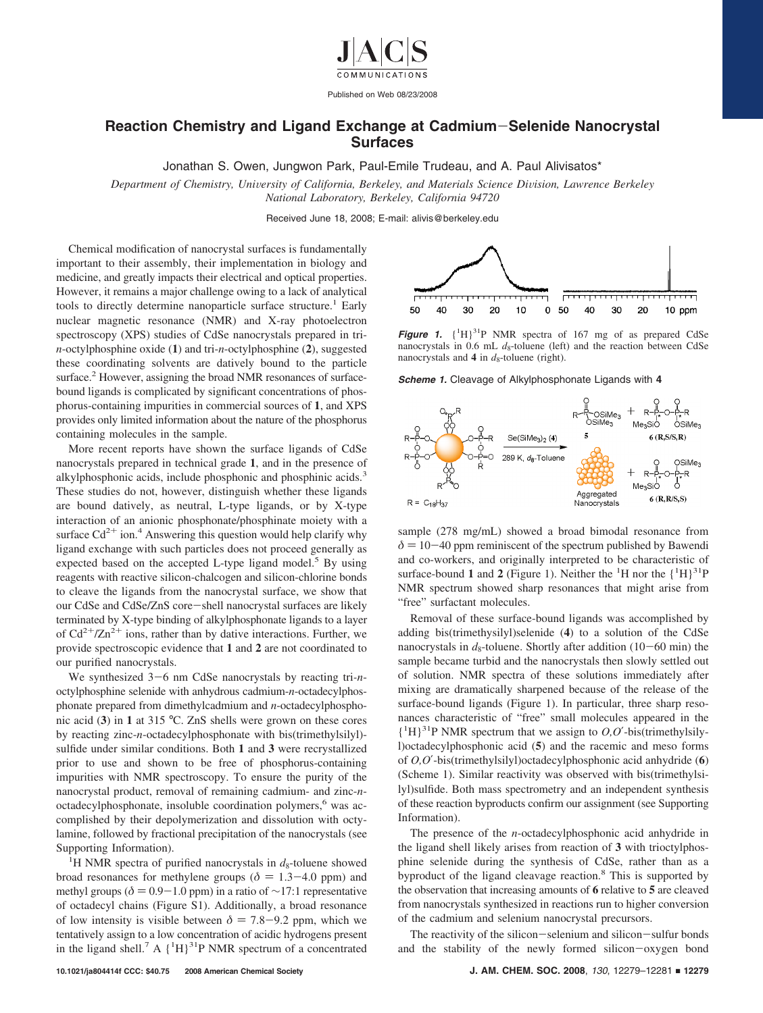

## **Reaction Chemistry and Ligand Exchange at Cadmium**-**Selenide Nanocrystal Surfaces**

Jonathan S. Owen, Jungwon Park, Paul-Emile Trudeau, and A. Paul Alivisatos\*

*Department of Chemistry, University of California, Berkeley, and Materials Science Division, Lawrence Berkeley National Laboratory, Berkeley, California 94720*

Received June 18, 2008; E-mail: alivis@berkeley.edu

Chemical modification of nanocrystal surfaces is fundamentally important to their assembly, their implementation in biology and medicine, and greatly impacts their electrical and optical properties. However, it remains a major challenge owing to a lack of analytical tools to directly determine nanoparticle surface structure.<sup>1</sup> Early nuclear magnetic resonance (NMR) and X-ray photoelectron spectroscopy (XPS) studies of CdSe nanocrystals prepared in tri*n*-octylphosphine oxide (**1**) and tri-*n*-octylphosphine (**2**), suggested these coordinating solvents are datively bound to the particle surface.<sup>2</sup> However, assigning the broad NMR resonances of surfacebound ligands is complicated by significant concentrations of phosphorus-containing impurities in commercial sources of **1**, and XPS provides only limited information about the nature of the phosphorus containing molecules in the sample.

More recent reports have shown the surface ligands of CdSe nanocrystals prepared in technical grade **1**, and in the presence of alkylphosphonic acids, include phosphonic and phosphinic acids.<sup>3</sup> These studies do not, however, distinguish whether these ligands are bound datively, as neutral, L-type ligands, or by X-type interaction of an anionic phosphonate/phosphinate moiety with a surface  $Cd^{2+}$  ion.<sup>4</sup> Answering this question would help clarify why ligand exchange with such particles does not proceed generally as expected based on the accepted L-type ligand model.<sup>5</sup> By using reagents with reactive silicon-chalcogen and silicon-chlorine bonds to cleave the ligands from the nanocrystal surface, we show that our CdSe and CdSe/ZnS core-shell nanocrystal surfaces are likely terminated by X-type binding of alkylphosphonate ligands to a layer of  $Cd^{2+}/Zn^{2+}$  ions, rather than by dative interactions. Further, we provide spectroscopic evidence that **1** and **2** are not coordinated to our purified nanocrystals.

We synthesized 3-6 nm CdSe nanocrystals by reacting tri*-n*octylphosphine selenide with anhydrous cadmium-*n*-octadecylphosphonate prepared from dimethylcadmium and *n*-octadecylphosphonic acid (**3**) in **1** at 315 °C. ZnS shells were grown on these cores by reacting zinc-*n*-octadecylphosphonate with bis(trimethylsilyl) sulfide under similar conditions. Both **1** and **3** were recrystallized prior to use and shown to be free of phosphorus-containing impurities with NMR spectroscopy. To ensure the purity of the nanocrystal product, removal of remaining cadmium- and zinc-*n*octadecylphosphonate, insoluble coordination polymers,<sup>6</sup> was accomplished by their depolymerization and dissolution with octylamine, followed by fractional precipitation of the nanocrystals (see Supporting Information).

<sup>1</sup>H NMR spectra of purified nanocrystals in  $d_8$ -toluene showed broad resonances for methylene groups ( $\delta = 1.3-4.0$  ppm) and methyl groups ( $\delta$  = 0.9-1.0 ppm) in a ratio of ~17:1 representative of octadecyl chains (Figure S1). Additionally, a broad resonance of low intensity is visible between  $\delta = 7.8 - 9.2$  ppm, which we tentatively assign to a low concentration of acidic hydrogens present in the ligand shell.<sup>7</sup> A  $\{^1H\}^{31}P$  NMR spectrum of a concentrated



**Figure 1.**  $\{^1H\}^{31}P$  NMR spectra of 167 mg of as prepared CdSe nanocrystals in  $0.6$  mL  $d_8$ -toluene (left) and the reaction between CdSe nanocrystals and 4 in  $d_8$ -toluene (right).

*Scheme 1.* Cleavage of Alkylphosphonate Ligands with **4**



sample (278 mg/mL) showed a broad bimodal resonance from  $\delta$  = 10-40 ppm reminiscent of the spectrum published by Bawendi and co-workers, and originally interpreted to be characteristic of surface-bound 1 and 2 (Figure 1). Neither the  ${}^{1}H$  nor the  $\{ {}^{1}H \} {}^{31}P$ NMR spectrum showed sharp resonances that might arise from "free" surfactant molecules.

Removal of these surface-bound ligands was accomplished by adding bis(trimethysilyl)selenide (**4**) to a solution of the CdSe nanocrystals in  $d_8$ -toluene. Shortly after addition (10-60 min) the sample became turbid and the nanocrystals then slowly settled out of solution. NMR spectra of these solutions immediately after mixing are dramatically sharpened because of the release of the surface-bound ligands (Figure 1). In particular, three sharp resonances characteristic of "free" small molecules appeared in the  ${^{1}H}$ <sup>31</sup>P NMR spectrum that we assign to *O,O'*-bis(trimethylsilyl)octadecylphosphonic acid (**5**) and the racemic and meso forms of *O,O*′-bis(trimethylsilyl)octadecylphosphonic acid anhydride (**6**) (Scheme 1). Similar reactivity was observed with bis(trimethylsilyl)sulfide. Both mass spectrometry and an independent synthesis of these reaction byproducts confirm our assignment (see Supporting Information).

The presence of the *n*-octadecylphosphonic acid anhydride in the ligand shell likely arises from reaction of **3** with trioctylphosphine selenide during the synthesis of CdSe, rather than as a byproduct of the ligand cleavage reaction.8 This is supported by the observation that increasing amounts of **6** relative to **5** are cleaved from nanocrystals synthesized in reactions run to higher conversion of the cadmium and selenium nanocrystal precursors.

The reactivity of the silicon-selenium and silicon-sulfur bonds and the stability of the newly formed silicon-oxygen bond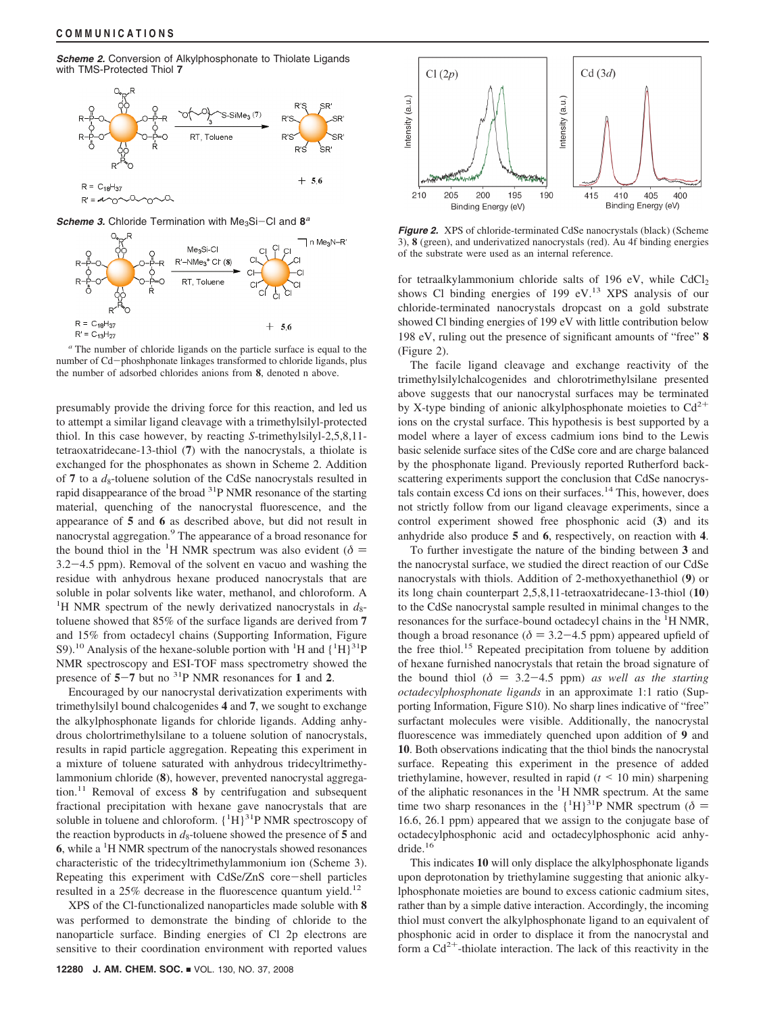*Scheme 2.* Conversion of Alkylphosphonate to Thiolate Ligands with TMS-Protected Thiol **7**



*Scheme 3.* Chloride Termination with Me<sub>3</sub>Si-Cl and  $8^a$ 



*<sup>a</sup>* The number of chloride ligands on the particle surface is equal to the number of Cd-phoshphonate linkages transformed to chloride ligands, plus the number of adsorbed chlorides anions from **8**, denoted n above.

presumably provide the driving force for this reaction, and led us to attempt a similar ligand cleavage with a trimethylsilyl-protected thiol. In this case however, by reacting *S*-trimethylsilyl-2,5,8,11 tetraoxatridecane-13-thiol (**7**) with the nanocrystals, a thiolate is exchanged for the phosphonates as shown in Scheme 2. Addition of 7 to a  $d_8$ -toluene solution of the CdSe nanocrystals resulted in rapid disappearance of the broad 31P NMR resonance of the starting material, quenching of the nanocrystal fluorescence, and the appearance of **5** and **6** as described above, but did not result in nanocrystal aggregation.<sup>9</sup> The appearance of a broad resonance for the bound thiol in the <sup>1</sup>H NMR spectrum was also evident ( $\delta$  =  $\frac{3.2-4.5 \text{ mm}}{2.2}$ ). Bemoval of the solvent en vacuo and washing the 3.2-4.5 ppm). Removal of the solvent en vacuo and washing the residue with anhydrous hexane produced nanocrystals that are soluble in polar solvents like water, methanol, and chloroform. A <sup>1</sup>H NMR spectrum of the newly derivatized nanocrystals in  $d_8$ toluene showed that 85% of the surface ligands are derived from **7** and 15% from octadecyl chains (Supporting Information, Figure S9).<sup>10</sup> Analysis of the hexane-soluble portion with <sup>1</sup>H and  $\{^1H\}^{31}P$ NMR spectroscopy and ESI-TOF mass spectrometry showed the presence of **<sup>5</sup>**-**<sup>7</sup>** but no 31P NMR resonances for **<sup>1</sup>** and **<sup>2</sup>**.

Encouraged by our nanocrystal derivatization experiments with trimethylsilyl bound chalcogenides **4** and **7**, we sought to exchange the alkylphosphonate ligands for chloride ligands. Adding anhydrous cholortrimethylsilane to a toluene solution of nanocrystals, results in rapid particle aggregation. Repeating this experiment in a mixture of toluene saturated with anhydrous tridecyltrimethylammonium chloride (**8**), however, prevented nanocrystal aggregation.11 Removal of excess **8** by centrifugation and subsequent fractional precipitation with hexane gave nanocrystals that are soluble in toluene and chloroform.  ${^{1}H}$ <sup>31</sup>P NMR spectroscopy of the reaction byproducts in  $d_8$ -toluene showed the presence of 5 and **6**, while a <sup>1</sup>H NMR spectrum of the nanocrystals showed resonances characteristic of the tridecyltrimethylammonium ion (Scheme 3). Repeating this experiment with CdSe/ZnS core-shell particles resulted in a  $25\%$  decrease in the fluorescence quantum yield.<sup>12</sup>

XPS of the Cl-functionalized nanoparticles made soluble with **8** was performed to demonstrate the binding of chloride to the nanoparticle surface. Binding energies of Cl 2p electrons are sensitive to their coordination environment with reported values



*Figure 2.* XPS of chloride-terminated CdSe nanocrystals (black) (Scheme 3), **8** (green), and underivatized nanocrystals (red). Au 4f binding energies of the substrate were used as an internal reference.

for tetraalkylammonium chloride salts of 196 eV, while  $CdCl<sub>2</sub>$ shows Cl binding energies of 199 eV. $^{13}$  XPS analysis of our chloride-terminated nanocrystals dropcast on a gold substrate showed Cl binding energies of 199 eV with little contribution below 198 eV, ruling out the presence of significant amounts of "free" **8** (Figure 2).

The facile ligand cleavage and exchange reactivity of the trimethylsilylchalcogenides and chlorotrimethylsilane presented above suggests that our nanocrystal surfaces may be terminated by X-type binding of anionic alkylphosphonate moieties to  $Cd^{2+}$ ions on the crystal surface. This hypothesis is best supported by a model where a layer of excess cadmium ions bind to the Lewis basic selenide surface sites of the CdSe core and are charge balanced by the phosphonate ligand. Previously reported Rutherford backscattering experiments support the conclusion that CdSe nanocrystals contain excess Cd ions on their surfaces.<sup>14</sup> This, however, does not strictly follow from our ligand cleavage experiments, since a control experiment showed free phosphonic acid (**3**) and its anhydride also produce **5** and **6**, respectively, on reaction with **4**.

To further investigate the nature of the binding between **3** and the nanocrystal surface, we studied the direct reaction of our CdSe nanocrystals with thiols. Addition of 2-methoxyethanethiol (**9**) or its long chain counterpart 2,5,8,11-tetraoxatridecane-13-thiol (**10**) to the CdSe nanocrystal sample resulted in minimal changes to the resonances for the surface-bound octadecyl chains in the <sup>1</sup>H NMR, though a broad resonance ( $\delta = 3.2 - 4.5$  ppm) appeared upfield of the free thiol.<sup>15</sup> Repeated precipitation from toluene by addition of hexane furnished nanocrystals that retain the broad signature of the bound thiol ( $\delta = 3.2 - 4.5$  ppm) *as well as the starting octadecylphosphonate ligands* in an approximate 1:1 ratio (Supporting Information, Figure S10). No sharp lines indicative of "free" surfactant molecules were visible. Additionally, the nanocrystal fluorescence was immediately quenched upon addition of **9** and **10**. Both observations indicating that the thiol binds the nanocrystal surface. Repeating this experiment in the presence of added triethylamine, however, resulted in rapid (*<sup>t</sup>* < 10 min) sharpening of the aliphatic resonances in the <sup>1</sup>H NMR spectrum. At the same time two sharp resonances in the  ${^{1}H}$ <sup>31</sup>P NMR spectrum ( $\delta$  = 16.6, 26.1 npm) appeared that we assign to the conjugate hase of 16.6, 26.1 ppm) appeared that we assign to the conjugate base of octadecylphosphonic acid and octadecylphosphonic acid anhydride.<sup>16</sup>

This indicates **10** will only displace the alkylphosphonate ligands upon deprotonation by triethylamine suggesting that anionic alkylphosphonate moieties are bound to excess cationic cadmium sites, rather than by a simple dative interaction. Accordingly, the incoming thiol must convert the alkylphosphonate ligand to an equivalent of phosphonic acid in order to displace it from the nanocrystal and form a  $Cd^{2+}$ -thiolate interaction. The lack of this reactivity in the